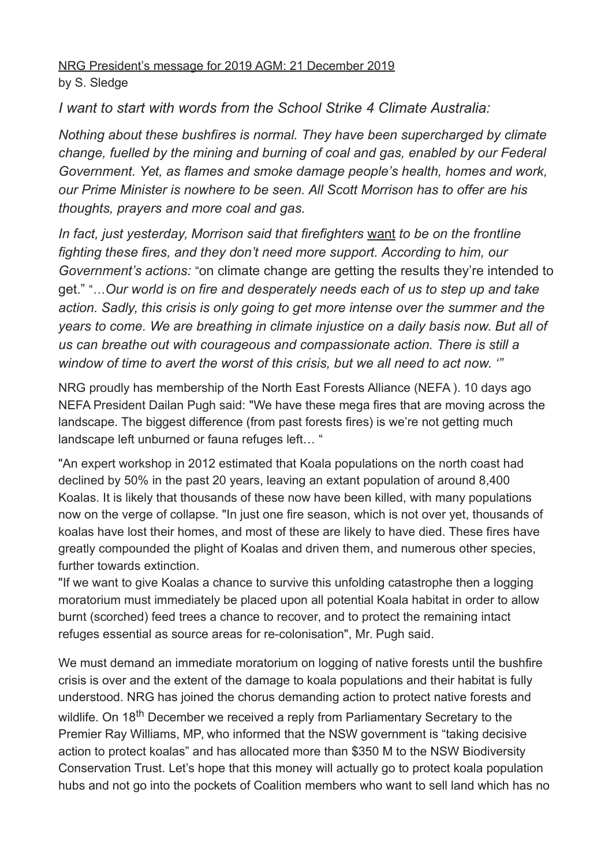NRG President's message for 2019 AGM: 21 December 2019 by S. Sledge

*I want to start with words from the School Strike 4 Climate Australia:*

*Nothing about these bushfires is normal. They have been supercharged by climate change, fuelled by the mining and burning of coal and gas, enabled by our Federal Government. Yet, as flames and smoke damage people's health, homes and work, our Prime Minister is nowhere to be seen. All Scott Morrison has to offer are his thoughts, prayers and more coal and gas.*

*In fact, just yesterday, Morrison said that firefighters* want *to be on the frontline fighting these fires, and they don't need more support. According to him, our Government's actions:* "on climate change are getting the results they're intended to get." "…*Our world is on fire and desperately needs each of us to step up and take action. Sadly, this crisis is only going to get more intense over the summer and the years to come. We are breathing in climate injustice on a daily basis now. But all of us can breathe out with courageous and compassionate action. There is still a window of time to avert the worst of this crisis, but we all need to act now. '"*

NRG proudly has membership of the North East Forests Alliance (NEFA ). 10 days ago NEFA President Dailan Pugh said: "We have these mega fires that are moving across the landscape. The biggest difference (from past forests fires) is we're not getting much landscape left unburned or fauna refuges left… "

"An expert workshop in 2012 estimated that Koala populations on the north coast had declined by 50% in the past 20 years, leaving an extant population of around 8,400 Koalas. It is likely that thousands of these now have been killed, with many populations now on the verge of collapse. "In just one fire season, which is not over yet, thousands of koalas have lost their homes, and most of these are likely to have died. These fires have greatly compounded the plight of Koalas and driven them, and numerous other species, further towards extinction.

"If we want to give Koalas a chance to survive this unfolding catastrophe then a logging moratorium must immediately be placed upon all potential Koala habitat in order to allow burnt (scorched) feed trees a chance to recover, and to protect the remaining intact refuges essential as source areas for re-colonisation", Mr. Pugh said.

We must demand an immediate moratorium on logging of native forests until the bushfire crisis is over and the extent of the damage to koala populations and their habitat is fully understood. NRG has joined the chorus demanding action to protect native forests and wildlife. On 18<sup>th</sup> December we received a reply from Parliamentary Secretary to the Premier Ray Williams, MP, who informed that the NSW government is "taking decisive action to protect koalas" and has allocated more than \$350 M to the NSW Biodiversity Conservation Trust. Let's hope that this money will actually go to protect koala population hubs and not go into the pockets of Coalition members who want to sell land which has no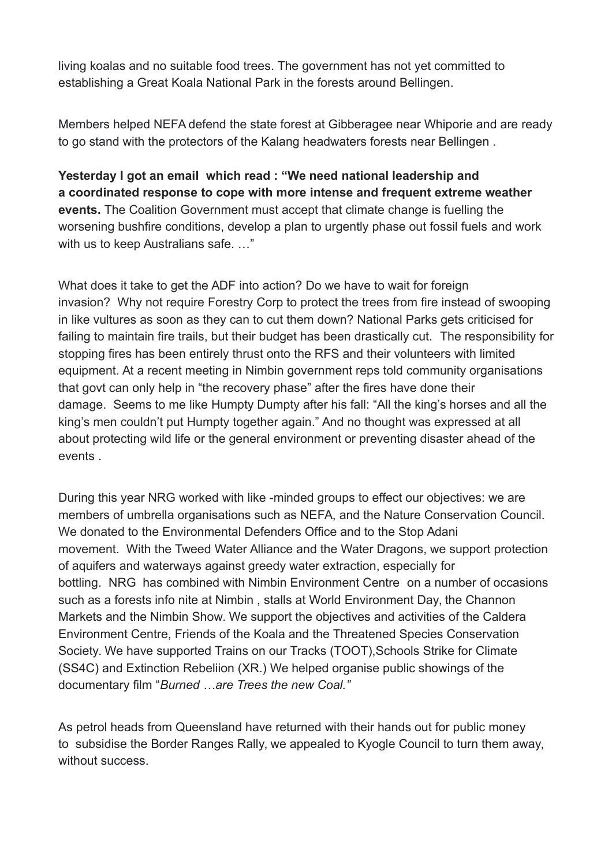living koalas and no suitable food trees. The government has not yet committed to establishing a Great Koala National Park in the forests around Bellingen.

Members helped NEFA defend the state forest at Gibberagee near Whiporie and are ready to go stand with the protectors of the Kalang headwaters forests near Bellingen .

**Yesterday I got an email which read : "We need national leadership and a coordinated response to cope with more intense and frequent extreme weather events.** The Coalition Government must accept that climate change is fuelling the worsening bushfire conditions, develop a plan to urgently phase out fossil fuels and work with us to keep Australians safe. ..."

What does it take to get the ADF into action? Do we have to wait for foreign invasion? Why not require Forestry Corp to protect the trees from fire instead of swooping in like vultures as soon as they can to cut them down? National Parks gets criticised for failing to maintain fire trails, but their budget has been drastically cut. The responsibility for stopping fires has been entirely thrust onto the RFS and their volunteers with limited equipment. At a recent meeting in Nimbin government reps told community organisations that govt can only help in "the recovery phase" after the fires have done their damage. Seems to me like Humpty Dumpty after his fall: "All the king's horses and all the king's men couldn't put Humpty together again." And no thought was expressed at all about protecting wild life or the general environment or preventing disaster ahead of the events .

During this year NRG worked with like -minded groups to effect our objectives: we are members of umbrella organisations such as NEFA, and the Nature Conservation Council. We donated to the Environmental Defenders Office and to the Stop Adani movement. With the Tweed Water Alliance and the Water Dragons, we support protection of aquifers and waterways against greedy water extraction, especially for bottling. NRG has combined with Nimbin Environment Centre on a number of occasions such as a forests info nite at Nimbin , stalls at World Environment Day, the Channon Markets and the Nimbin Show. We support the objectives and activities of the Caldera Environment Centre, Friends of the Koala and the Threatened Species Conservation Society. We have supported Trains on our Tracks (TOOT),Schools Strike for Climate (SS4C) and Extinction Rebeliion (XR.) We helped organise public showings of the documentary film "*Burned …are Trees the new Coal."*

As petrol heads from Queensland have returned with their hands out for public money to subsidise the Border Ranges Rally, we appealed to Kyogle Council to turn them away, without success.